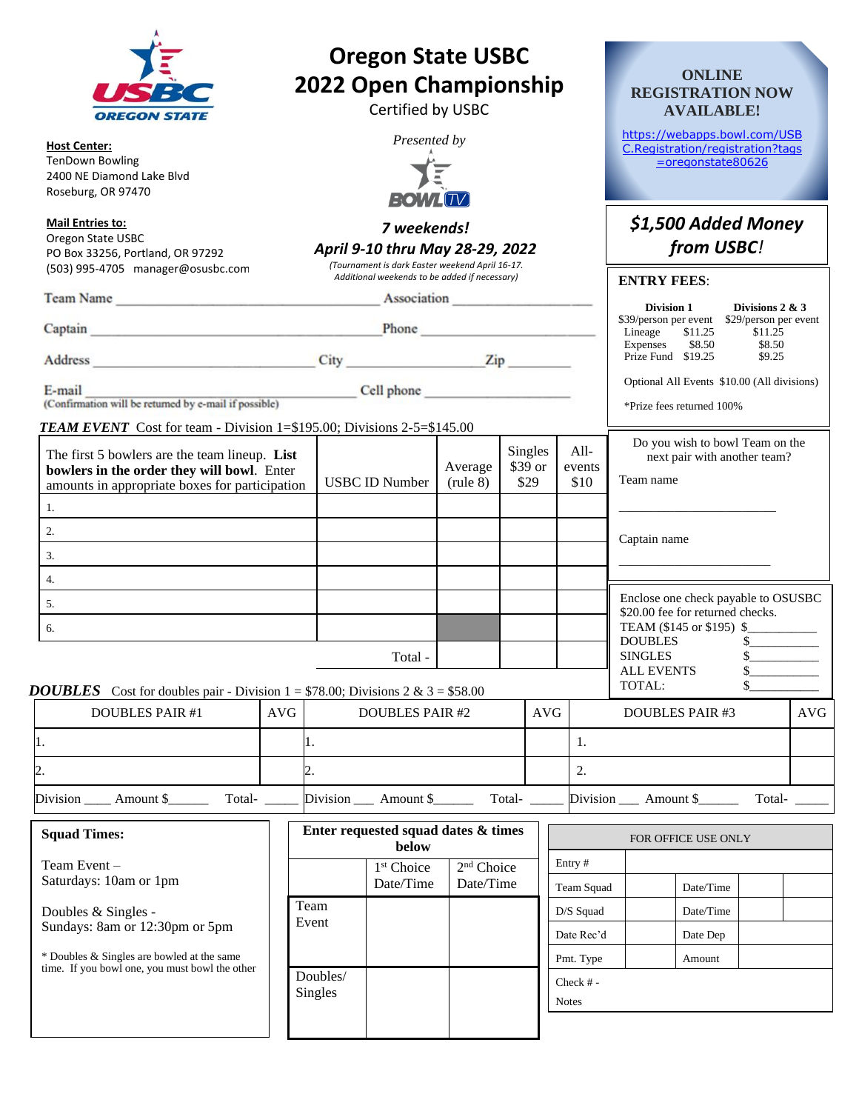|                                                                                                                                                                                                                                |                                                                |             |                                                                                      | <b>Oregon State USBC</b><br>2022 Open Championship<br>Certified by USBC                                                                            |                               |                                   |            |                          |                                  | https://webapps.bowl.com/USB                                                                                                                    | <b>ONLINE</b><br><b>AVAILABLE!</b> | <b>REGISTRATION NOW</b> |            |  |
|--------------------------------------------------------------------------------------------------------------------------------------------------------------------------------------------------------------------------------|----------------------------------------------------------------|-------------|--------------------------------------------------------------------------------------|----------------------------------------------------------------------------------------------------------------------------------------------------|-------------------------------|-----------------------------------|------------|--------------------------|----------------------------------|-------------------------------------------------------------------------------------------------------------------------------------------------|------------------------------------|-------------------------|------------|--|
| <b>Host Center:</b><br><b>TenDown Bowling</b><br>2400 NE Diamond Lake Blyd<br>Roseburg, OR 97470                                                                                                                               | Presented by<br><b>BOWLITY</b>                                 |             |                                                                                      |                                                                                                                                                    |                               |                                   |            |                          | C.Registration/registration?tags |                                                                                                                                                 | $=$ oregonstate80626               |                         |            |  |
| <b>Mail Entries to:</b><br>Oregon State USBC<br>PO Box 33256, Portland, OR 97292<br>(503) 995-4705 manager@osusbc.com                                                                                                          |                                                                |             |                                                                                      | 7 weekends!<br>April 9-10 thru May 28-29, 2022<br>(Tournament is dark Easter weekend April 16-17.<br>Additional weekends to be added if necessary) |                               |                                   |            |                          |                                  |                                                                                                                                                 | from USBC!                         | \$1,500 Added Money     |            |  |
|                                                                                                                                                                                                                                |                                                                |             |                                                                                      |                                                                                                                                                    |                               |                                   |            |                          |                                  | <b>ENTRY FEES:</b>                                                                                                                              |                                    |                         |            |  |
|                                                                                                                                                                                                                                | Team Name Association Association<br>Captain Phone Phone Phone |             |                                                                                      |                                                                                                                                                    |                               |                                   |            |                          |                                  | Division 1<br>Divisions $2 & 3$<br>\$39/person per event \$29/person per event<br>\$11.25<br>Lineage<br>\$11.25<br>Expenses<br>\$8.50<br>\$8.50 |                                    |                         |            |  |
|                                                                                                                                                                                                                                |                                                                | Address Zip |                                                                                      |                                                                                                                                                    |                               |                                   |            |                          | Prize Fund \$19.25               |                                                                                                                                                 | \$9.25                             |                         |            |  |
| (Confirmation will be returned by e-mail if possible) Cell phone                                                                                                                                                               |                                                                |             |                                                                                      |                                                                                                                                                    |                               |                                   |            |                          |                                  | Optional All Events \$10.00 (All divisions)<br>*Prize fees returned 100%                                                                        |                                    |                         |            |  |
| <b>TEAM EVENT</b> Cost for team - Division 1=\$195.00; Divisions 2-5=\$145.00<br>The first 5 bowlers are the team lineup. List<br>bowlers in the order they will bowl. Enter<br>amounts in appropriate boxes for participation |                                                                |             | <b>USBC ID Number</b>                                                                |                                                                                                                                                    | Average<br>$(\text{rule } 8)$ | <b>Singles</b><br>\$39 or<br>\$29 |            | $All-$<br>events<br>\$10 |                                  | Do you wish to bowl Team on the<br>next pair with another team?<br>Team name                                                                    |                                    |                         |            |  |
| 1.                                                                                                                                                                                                                             |                                                                |             |                                                                                      |                                                                                                                                                    |                               |                                   |            |                          |                                  |                                                                                                                                                 |                                    |                         |            |  |
| 2.                                                                                                                                                                                                                             |                                                                |             |                                                                                      |                                                                                                                                                    |                               |                                   |            |                          |                                  | Captain name                                                                                                                                    |                                    |                         |            |  |
| 3.                                                                                                                                                                                                                             |                                                                |             |                                                                                      |                                                                                                                                                    |                               |                                   |            |                          |                                  |                                                                                                                                                 |                                    |                         |            |  |
| 4.                                                                                                                                                                                                                             |                                                                |             |                                                                                      |                                                                                                                                                    |                               |                                   |            |                          |                                  | Enclose one check payable to OSUSBC                                                                                                             |                                    |                         |            |  |
| 5.<br>6.                                                                                                                                                                                                                       |                                                                |             |                                                                                      |                                                                                                                                                    |                               |                                   |            |                          |                                  | \$20.00 fee for returned checks.<br>TEAM (\$145 or \$195) \$                                                                                    |                                    |                         |            |  |
|                                                                                                                                                                                                                                |                                                                |             |                                                                                      | Total -                                                                                                                                            |                               |                                   |            |                          |                                  | <b>DOUBLES</b><br><b>SINGLES</b><br><b>ALL EVENTS</b>                                                                                           |                                    | \$.                     |            |  |
| <b>DOUBLES</b> Cost for doubles pair - Division $1 = $78.00$ ; Divisions $2 & 3 = $58.00$                                                                                                                                      |                                                                |             |                                                                                      |                                                                                                                                                    |                               |                                   |            |                          |                                  | TOTAL:                                                                                                                                          |                                    |                         |            |  |
| <b>DOUBLES PAIR #1</b>                                                                                                                                                                                                         | AVG                                                            |             |                                                                                      | <b>DOUBLES PAIR #2</b>                                                                                                                             | <b>AVG</b>                    |                                   |            |                          | <b>DOUBLES PAIR #3</b>           |                                                                                                                                                 |                                    |                         | <b>AVG</b> |  |
| I.                                                                                                                                                                                                                             |                                                                | 1.          |                                                                                      |                                                                                                                                                    |                               |                                   |            |                          | 1.                               |                                                                                                                                                 |                                    |                         |            |  |
| 2.                                                                                                                                                                                                                             |                                                                | 2.          |                                                                                      |                                                                                                                                                    |                               |                                   |            |                          | 2.                               |                                                                                                                                                 |                                    |                         |            |  |
| Division ______ Amount \$____________ Total-                                                                                                                                                                                   |                                                                |             |                                                                                      | Division _____ Amount \$__________ Total- _____                                                                                                    |                               |                                   |            |                          |                                  | Division ___ Amount \$________ Total- ____                                                                                                      |                                    |                         |            |  |
| <b>Squad Times:</b>                                                                                                                                                                                                            |                                                                |             |                                                                                      | Enter requested squad dates & times<br>below                                                                                                       |                               |                                   |            |                          |                                  | FOR OFFICE USE ONLY                                                                                                                             |                                    |                         |            |  |
| Team Event-<br>Saturdays: 10am or 1pm                                                                                                                                                                                          |                                                                |             | Entry#<br>1 <sup>st</sup> Choice<br>2 <sup>nd</sup> Choice<br>Date/Time<br>Date/Time |                                                                                                                                                    |                               |                                   | Team Squad |                          | Date/Time                        |                                                                                                                                                 |                                    |                         |            |  |
| Doubles & Singles -<br>Sundays: 8am or 12:30pm or 5pm                                                                                                                                                                          |                                                                | Event       | Team                                                                                 |                                                                                                                                                    |                               |                                   |            |                          | D/S Squad                        |                                                                                                                                                 | Date/Time                          |                         |            |  |

\* Doubles & Singles are bowled at the same time. If you bowl one, you must bowl the other

|          | 1 <sup>st</sup> Choice | 2 <sup>nd</sup> Choice | $E$ ntry #   |           |  |
|----------|------------------------|------------------------|--------------|-----------|--|
|          | Date/Time              | Date/Time              | Team Squad   | Date/Time |  |
| Team     |                        |                        | D/S Squad    | Date/Time |  |
| Event    |                        |                        | Date Rec'd   | Date Dep  |  |
|          |                        |                        | Pmt. Type    | Amount    |  |
| Doubles/ |                        |                        | Check $# -$  |           |  |
| Singles  |                        |                        | <b>Notes</b> |           |  |
|          |                        |                        |              |           |  |
|          |                        |                        |              |           |  |